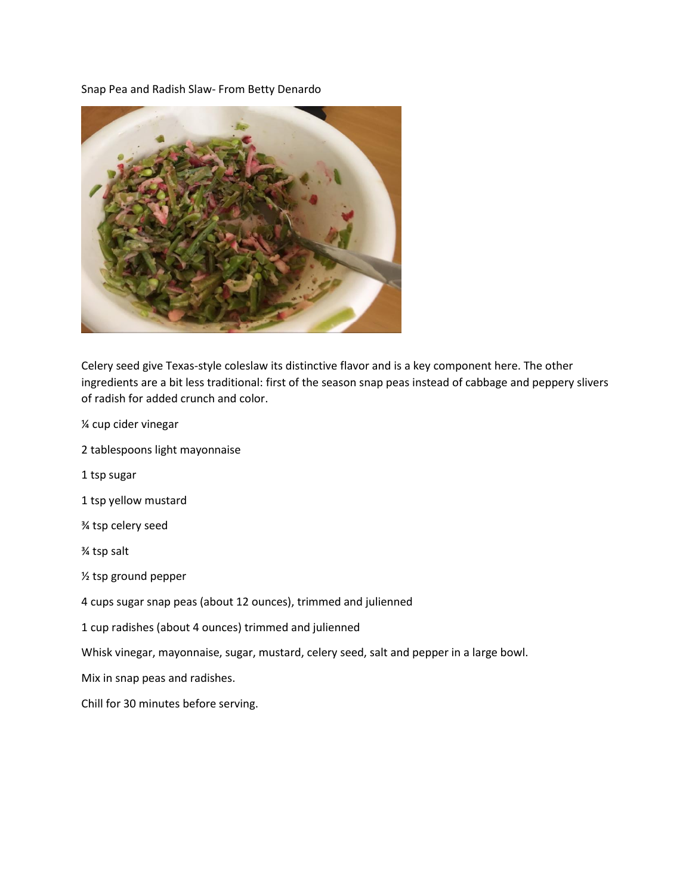Snap Pea and Radish Slaw- From Betty Denardo



Celery seed give Texas-style coleslaw its distinctive flavor and is a key component here. The other ingredients are a bit less traditional: first of the season snap peas instead of cabbage and peppery slivers of radish for added crunch and color.

- ¼ cup cider vinegar
- 2 tablespoons light mayonnaise
- 1 tsp sugar
- 1 tsp yellow mustard
- ¾ tsp celery seed
- ¾ tsp salt
- ½ tsp ground pepper
- 4 cups sugar snap peas (about 12 ounces), trimmed and julienned
- 1 cup radishes (about 4 ounces) trimmed and julienned
- Whisk vinegar, mayonnaise, sugar, mustard, celery seed, salt and pepper in a large bowl.
- Mix in snap peas and radishes.
- Chill for 30 minutes before serving.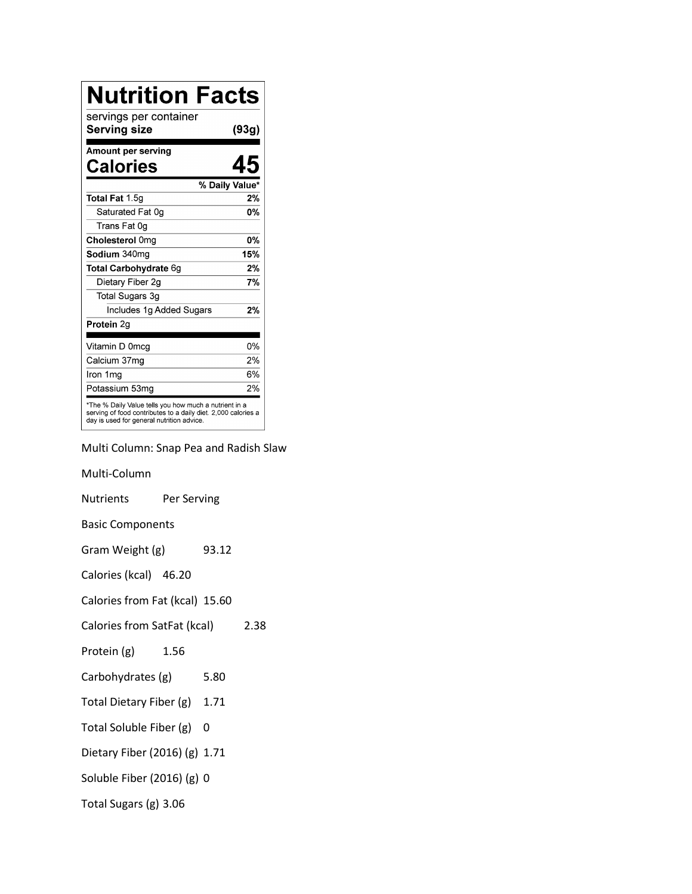| <b>Nutrition Facts</b>                                                                                                                                              |                |
|---------------------------------------------------------------------------------------------------------------------------------------------------------------------|----------------|
| servings per container<br>Serving size                                                                                                                              | (93g)          |
| Amount per serving                                                                                                                                                  |                |
| Calories                                                                                                                                                            |                |
|                                                                                                                                                                     | % Daily Value* |
| <b>Total Fat 1.5g</b>                                                                                                                                               | 2%             |
| Saturated Fat 0g                                                                                                                                                    | 0%             |
| Trans Fat 0g                                                                                                                                                        |                |
| Cholesterol 0mg                                                                                                                                                     | <b>0%</b>      |
| Sodium 340mg                                                                                                                                                        | 15%            |
| Total Carbohydrate 6g                                                                                                                                               | 2%             |
| Dietary Fiber 2g                                                                                                                                                    | 7%             |
| Total Sugars 3g                                                                                                                                                     |                |
| Includes 1g Added Sugars                                                                                                                                            | 2%             |
| Protein 2q                                                                                                                                                          |                |
| Vitamin D 0mcg                                                                                                                                                      | 0%             |
| Calcium 37mg                                                                                                                                                        | 2%             |
| Iron 1mg                                                                                                                                                            | 6%             |
| Potassium 53mg                                                                                                                                                      | 2%             |
| *The % Daily Value tells you how much a nutrient in a<br>serving of food contributes to a daily diet. 2,000 calories a<br>day is used for general nutrition advice. |                |

Multi Column: Snap Pea and Radish Slaw

Multi-Column Nutrients Per Serving Basic Components Gram Weight (g) 93.12 Calories (kcal) 46.20 Calories from Fat (kcal) 15.60 Calories from SatFat (kcal) 2.38 Protein (g) 1.56 Carbohydrates (g) 5.80 Total Dietary Fiber (g) 1.71 Total Soluble Fiber (g) 0 Dietary Fiber (2016) (g) 1.71 Soluble Fiber (2016) (g) 0 Total Sugars (g) 3.06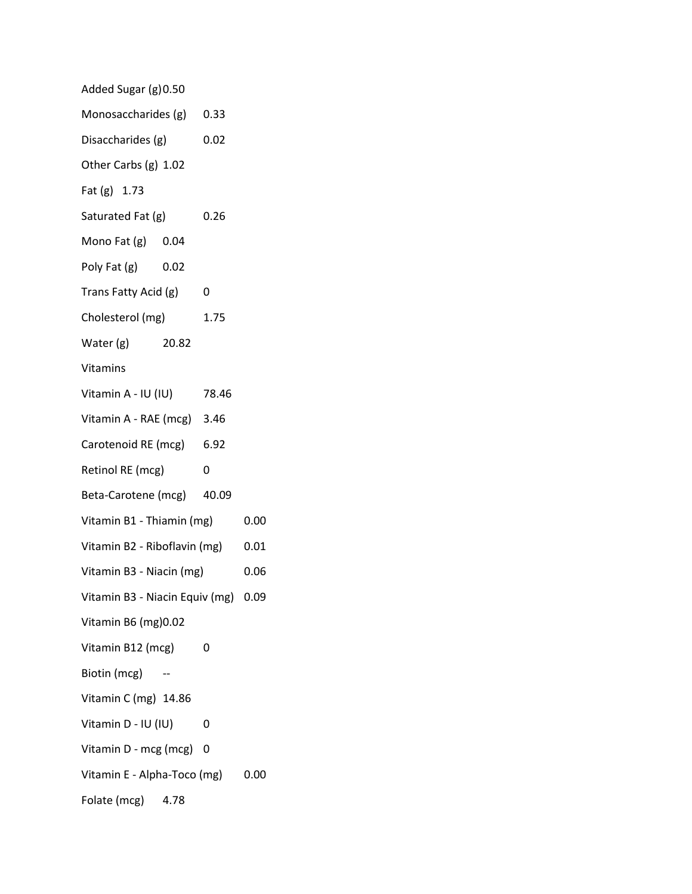| Added Sugar (g) 0.50                |      |      |      |
|-------------------------------------|------|------|------|
| Monosaccharides (g) 0.33            |      |      |      |
| Disaccharides (g)                   |      | 0.02 |      |
| Other Carbs (g) 1.02                |      |      |      |
| Fat (g) 1.73                        |      |      |      |
| Saturated Fat (g)                   |      | 0.26 |      |
| Mono Fat (g) 0.04                   |      |      |      |
| Poly Fat $(g)$ 0.02                 |      |      |      |
| Trans Fatty Acid (g)                |      | 0    |      |
| Cholesterol (mg)                    |      | 1.75 |      |
| Water (g) 20.82                     |      |      |      |
| Vitamins                            |      |      |      |
| Vitamin A - IU (IU) 78.46           |      |      |      |
| Vitamin A - RAE (mcg) 3.46          |      |      |      |
| Carotenoid RE (mcg) 6.92            |      |      |      |
| Retinol RE (mcg)                    |      | 0    |      |
| Beta-Carotene (mcg) 40.09           |      |      |      |
| Vitamin B1 - Thiamin (mg)           |      | 0.00 |      |
| Vitamin B2 - Riboflavin (mg)        |      | 0.01 |      |
| Vitamin B3 - Niacin (mg)            |      |      | 0.06 |
| Vitamin B3 - Niacin Equiv (mg) 0.09 |      |      |      |
| Vitamin B6 (mg) 0.02                |      |      |      |
| Vitamin B12 (mcg)                   |      | 0    |      |
| Biotin (mcg)                        |      |      |      |
| Vitamin C (mg) 14.86                |      |      |      |
| Vitamin D - IU (IU)                 |      | 0    |      |
| Vitamin D - mcg (mcg)               |      | 0    |      |
| Vitamin E - Alpha-Toco (mg)         |      |      | 0.00 |
| Folate (mcg)                        | 4.78 |      |      |